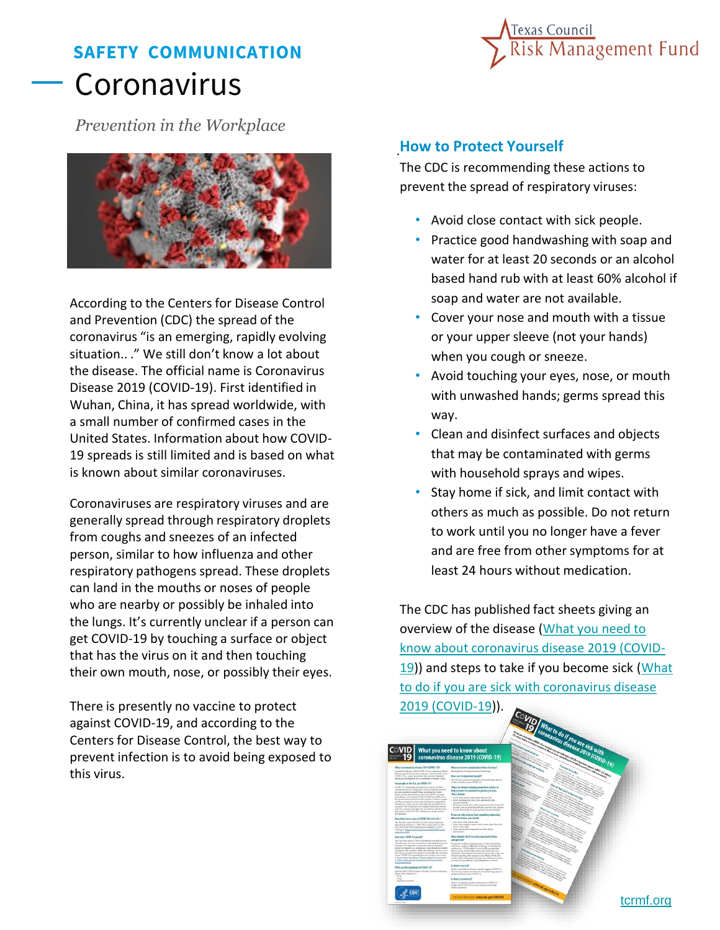## **SAFETY COMMUNICATION** Coronavirus



*Prevention in the Workplace*



According to the Centers for Disease Control and Prevention (CDC) the spread of the coronavirus "is an emerging, rapidly evolving situation.. ." We still don't know a lot about the disease. The official name is Coronavirus Disease 2019 (COVID-19). First identified in Wuhan, China, it has spread worldwide, with a small number of confirmed cases in the United States. Information about how COVID-19 spreads is still limited and is based on what is known about similar coronaviruses.

Coronaviruses are respiratory viruses and are generally spread through respiratory droplets from coughs and sneezes of an infected person, similar to how influenza and other respiratory pathogens spread. These droplets can land in the mouths or noses of people who are nearby or possibly be inhaled into the lungs. It's currently unclear if a person can get COVID-19 by touching a surface or object that has the virus on it and then touching their own mouth, nose, or possibly their eyes.

There is presently no vaccine to protect against COVID-19, and according to the Centers for Disease Control, the best way to prevent infection is to avoid being exposed to this virus.

## . **How to Protect Yourself**

The CDC is recommending these actions to prevent the spread of respiratory viruses:

- Avoid close contact with sick people.
- Practice good handwashing with soap and water for at least 20 seconds or an alcohol based hand rub with at least 60% alcohol if soap and water are not available.
- Cover your nose and mouth with a tissue or your upper sleeve (not your hands) when you cough or sneeze.
- Avoid touching your eyes, nose, or mouth with unwashed hands; germs spread this way.
- Clean and disinfect surfaces and objects that may be contaminated with germs with household sprays and wipes.
- Stay home if sick, and limit contact with others as much as possible. Do not return to work until you no longer have a fever and are free from other symptoms for at least 24 hours without medication.

The CDC has published fact sheets giving an overview of the disease (What you need to [know about coronavirus disease 2019 \(COVID-](https://www.cdc.gov/coronavirus/2019-ncov/downloads/2019-ncov-factsheet.pdf)[19\)\) and steps to take if you become sick \(What](https://www.cdc.gov/coronavirus/2019-ncov/downloads/sick-with-2019-nCoV-fact-sheet.pdf) to do if you are sick with coronavirus disease 2019 (COVID-19)).